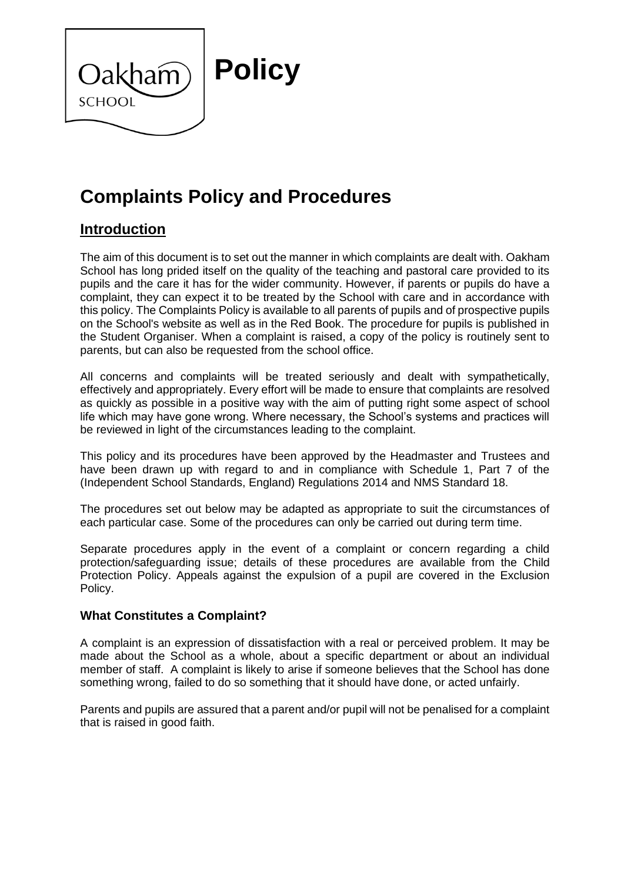

# **Complaints Policy and Procedures**

# **Introduction**

The aim of this document is to set out the manner in which complaints are dealt with. Oakham School has long prided itself on the quality of the teaching and pastoral care provided to its pupils and the care it has for the wider community. However, if parents or pupils do have a complaint, they can expect it to be treated by the School with care and in accordance with this policy. The Complaints Policy is available to all parents of pupils and of prospective pupils on the School's website as well as in the Red Book. The procedure for pupils is published in the Student Organiser. When a complaint is raised, a copy of the policy is routinely sent to parents, but can also be requested from the school office.

All concerns and complaints will be treated seriously and dealt with sympathetically, effectively and appropriately. Every effort will be made to ensure that complaints are resolved as quickly as possible in a positive way with the aim of putting right some aspect of school life which may have gone wrong. Where necessary, the School's systems and practices will be reviewed in light of the circumstances leading to the complaint.

This policy and its procedures have been approved by the Headmaster and Trustees and have been drawn up with regard to and in compliance with Schedule 1, Part 7 of the (Independent School Standards, England) Regulations 2014 and NMS Standard 18.

The procedures set out below may be adapted as appropriate to suit the circumstances of each particular case. Some of the procedures can only be carried out during term time.

Separate procedures apply in the event of a complaint or concern regarding a child protection/safeguarding issue; details of these procedures are available from the Child Protection Policy. Appeals against the expulsion of a pupil are covered in the Exclusion Policy.

#### **What Constitutes a Complaint?**

A complaint is an expression of dissatisfaction with a real or perceived problem. It may be made about the School as a whole, about a specific department or about an individual member of staff. A complaint is likely to arise if someone believes that the School has done something wrong, failed to do so something that it should have done, or acted unfairly.

Parents and pupils are assured that a parent and/or pupil will not be penalised for a complaint that is raised in good faith.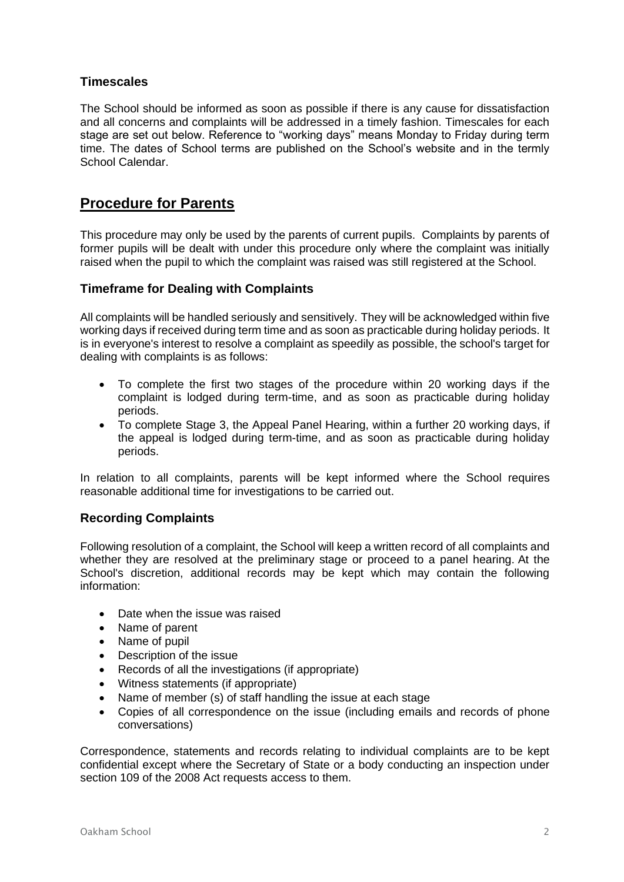#### **Timescales**

The School should be informed as soon as possible if there is any cause for dissatisfaction and all concerns and complaints will be addressed in a timely fashion. Timescales for each stage are set out below. Reference to "working days" means Monday to Friday during term time. The dates of School terms are published on the School's website and in the termly School Calendar.

## **Procedure for Parents**

This procedure may only be used by the parents of current pupils. Complaints by parents of former pupils will be dealt with under this procedure only where the complaint was initially raised when the pupil to which the complaint was raised was still registered at the School.

#### **Timeframe for Dealing with Complaints**

All complaints will be handled seriously and sensitively. They will be acknowledged within five working days if received during term time and as soon as practicable during holiday periods. It is in everyone's interest to resolve a complaint as speedily as possible, the school's target for dealing with complaints is as follows:

- To complete the first two stages of the procedure within 20 working days if the complaint is lodged during term-time, and as soon as practicable during holiday periods.
- To complete Stage 3, the Appeal Panel Hearing, within a further 20 working days, if the appeal is lodged during term-time, and as soon as practicable during holiday periods.

In relation to all complaints, parents will be kept informed where the School requires reasonable additional time for investigations to be carried out.

#### **Recording Complaints**

Following resolution of a complaint, the School will keep a written record of all complaints and whether they are resolved at the preliminary stage or proceed to a panel hearing. At the School's discretion, additional records may be kept which may contain the following information:

- Date when the issue was raised
- Name of parent
- Name of pupil
- Description of the issue
- Records of all the investigations (if appropriate)
- Witness statements (if appropriate)
- Name of member (s) of staff handling the issue at each stage
- Copies of all correspondence on the issue (including emails and records of phone conversations)

Correspondence, statements and records relating to individual complaints are to be kept confidential except where the Secretary of State or a body conducting an inspection under section 109 of the 2008 Act requests access to them.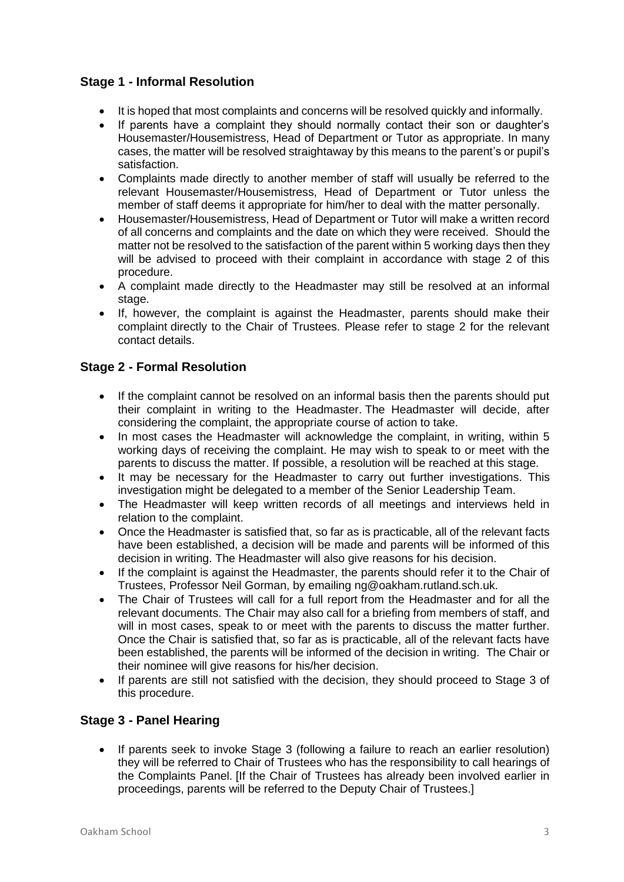#### **Stage 1 - Informal Resolution**

- It is hoped that most complaints and concerns will be resolved quickly and informally.
- If parents have a complaint they should normally contact their son or daughter's Housemaster/Housemistress, Head of Department or Tutor as appropriate. In many cases, the matter will be resolved straightaway by this means to the parent's or pupil's satisfaction.
- Complaints made directly to another member of staff will usually be referred to the relevant Housemaster/Housemistress, Head of Department or Tutor unless the member of staff deems it appropriate for him/her to deal with the matter personally.
- Housemaster/Housemistress, Head of Department or Tutor will make a written record of all concerns and complaints and the date on which they were received. Should the matter not be resolved to the satisfaction of the parent within 5 working days then they will be advised to proceed with their complaint in accordance with stage 2 of this procedure.
- A complaint made directly to the Headmaster may still be resolved at an informal stage.
- If, however, the complaint is against the Headmaster, parents should make their complaint directly to the Chair of Trustees. Please refer to stage 2 for the relevant contact details.

#### **Stage 2 - Formal Resolution**

- If the complaint cannot be resolved on an informal basis then the parents should put their complaint in writing to the Headmaster. The Headmaster will decide, after considering the complaint, the appropriate course of action to take.
- In most cases the Headmaster will acknowledge the complaint, in writing, within 5 working days of receiving the complaint. He may wish to speak to or meet with the parents to discuss the matter. If possible, a resolution will be reached at this stage.
- It may be necessary for the Headmaster to carry out further investigations. This investigation might be delegated to a member of the Senior Leadership Team.
- The Headmaster will keep written records of all meetings and interviews held in relation to the complaint.
- Once the Headmaster is satisfied that, so far as is practicable, all of the relevant facts have been established, a decision will be made and parents will be informed of this decision in writing. The Headmaster will also give reasons for his decision.
- If the complaint is against the Headmaster, the parents should refer it to the Chair of Trustees, Professor Neil Gorman, by emailing ng@oakham.rutland.sch.uk.
- The Chair of Trustees will call for a full report from the Headmaster and for all the relevant documents. The Chair may also call for a briefing from members of staff, and will in most cases, speak to or meet with the parents to discuss the matter further. Once the Chair is satisfied that, so far as is practicable, all of the relevant facts have been established, the parents will be informed of the decision in writing. The Chair or their nominee will give reasons for his/her decision.
- If parents are still not satisfied with the decision, they should proceed to Stage 3 of this procedure.

#### **Stage 3 - Panel Hearing**

If parents seek to invoke Stage 3 (following a failure to reach an earlier resolution) they will be referred to Chair of Trustees who has the responsibility to call hearings of the Complaints Panel. [If the Chair of Trustees has already been involved earlier in proceedings, parents will be referred to the Deputy Chair of Trustees.]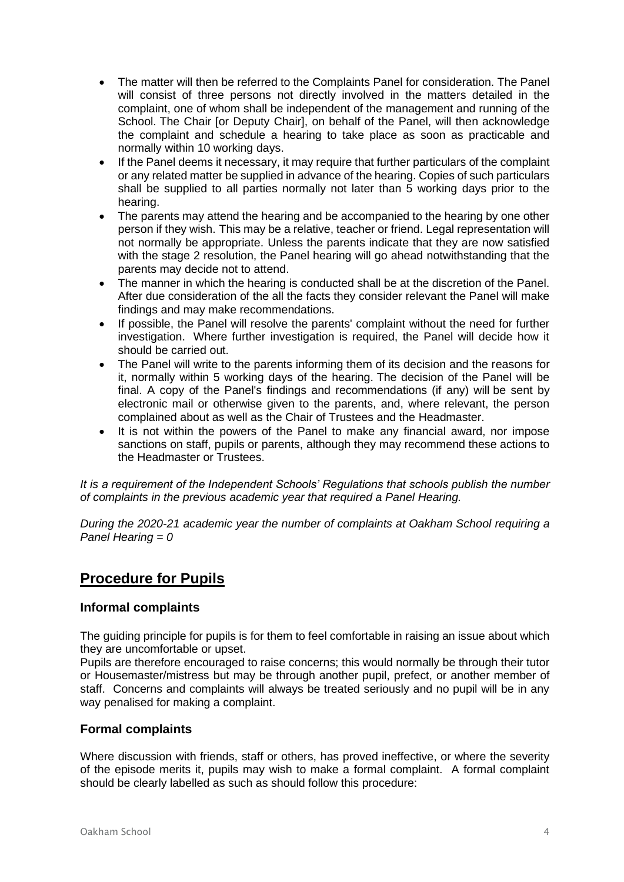- The matter will then be referred to the Complaints Panel for consideration. The Panel will consist of three persons not directly involved in the matters detailed in the complaint, one of whom shall be independent of the management and running of the School. The Chair [or Deputy Chair], on behalf of the Panel, will then acknowledge the complaint and schedule a hearing to take place as soon as practicable and normally within 10 working days.
- If the Panel deems it necessary, it may require that further particulars of the complaint or any related matter be supplied in advance of the hearing. Copies of such particulars shall be supplied to all parties normally not later than 5 working days prior to the hearing.
- The parents may attend the hearing and be accompanied to the hearing by one other person if they wish. This may be a relative, teacher or friend. Legal representation will not normally be appropriate. Unless the parents indicate that they are now satisfied with the stage 2 resolution, the Panel hearing will go ahead notwithstanding that the parents may decide not to attend.
- The manner in which the hearing is conducted shall be at the discretion of the Panel. After due consideration of the all the facts they consider relevant the Panel will make findings and may make recommendations.
- If possible, the Panel will resolve the parents' complaint without the need for further investigation. Where further investigation is required, the Panel will decide how it should be carried out.
- The Panel will write to the parents informing them of its decision and the reasons for it, normally within 5 working days of the hearing. The decision of the Panel will be final. A copy of the Panel's findings and recommendations (if any) will be sent by electronic mail or otherwise given to the parents, and, where relevant, the person complained about as well as the Chair of Trustees and the Headmaster.
- It is not within the powers of the Panel to make any financial award, nor impose sanctions on staff, pupils or parents, although they may recommend these actions to the Headmaster or Trustees.

*It is a requirement of the Independent Schools' Regulations that schools publish the number of complaints in the previous academic year that required a Panel Hearing.*

*During the 2020-21 academic year the number of complaints at Oakham School requiring a Panel Hearing = 0*

## **Procedure for Pupils**

#### **Informal complaints**

The guiding principle for pupils is for them to feel comfortable in raising an issue about which they are uncomfortable or upset.

Pupils are therefore encouraged to raise concerns; this would normally be through their tutor or Housemaster/mistress but may be through another pupil, prefect, or another member of staff. Concerns and complaints will always be treated seriously and no pupil will be in any way penalised for making a complaint.

#### **Formal complaints**

Where discussion with friends, staff or others, has proved ineffective, or where the severity of the episode merits it, pupils may wish to make a formal complaint. A formal complaint should be clearly labelled as such as should follow this procedure: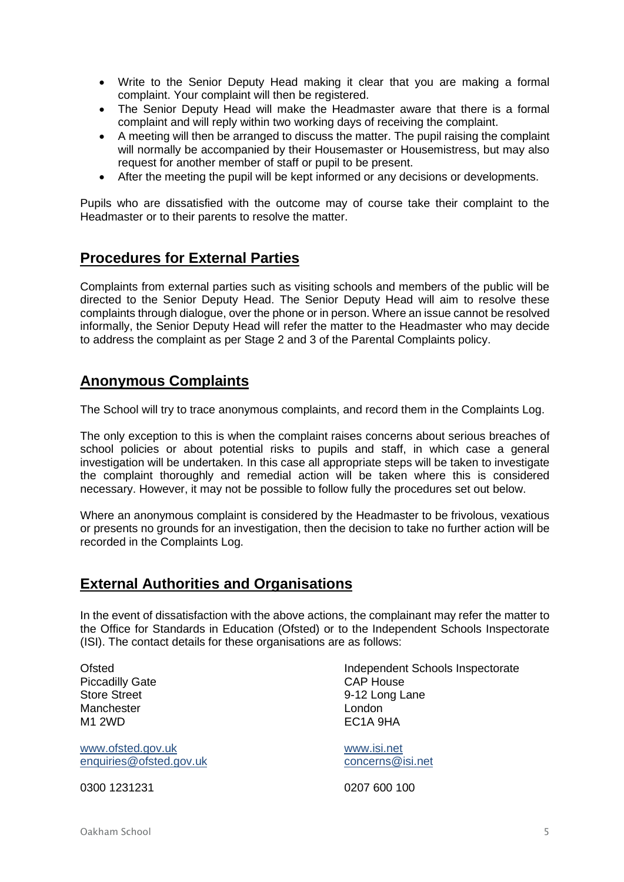- Write to the Senior Deputy Head making it clear that you are making a formal complaint. Your complaint will then be registered.
- The Senior Deputy Head will make the Headmaster aware that there is a formal complaint and will reply within two working days of receiving the complaint.
- A meeting will then be arranged to discuss the matter. The pupil raising the complaint will normally be accompanied by their Housemaster or Housemistress, but may also request for another member of staff or pupil to be present.
- After the meeting the pupil will be kept informed or any decisions or developments.

Pupils who are dissatisfied with the outcome may of course take their complaint to the Headmaster or to their parents to resolve the matter.

### **Procedures for External Parties**

Complaints from external parties such as visiting schools and members of the public will be directed to the Senior Deputy Head. The Senior Deputy Head will aim to resolve these complaints through dialogue, over the phone or in person. Where an issue cannot be resolved informally, the Senior Deputy Head will refer the matter to the Headmaster who may decide to address the complaint as per Stage 2 and 3 of the Parental Complaints policy.

## **Anonymous Complaints**

The School will try to trace anonymous complaints, and record them in the Complaints Log.

The only exception to this is when the complaint raises concerns about serious breaches of school policies or about potential risks to pupils and staff, in which case a general investigation will be undertaken. In this case all appropriate steps will be taken to investigate the complaint thoroughly and remedial action will be taken where this is considered necessary. However, it may not be possible to follow fully the procedures set out below.

Where an anonymous complaint is considered by the Headmaster to be frivolous, vexatious or presents no grounds for an investigation, then the decision to take no further action will be recorded in the Complaints Log.

## **External Authorities and Organisations**

In the event of dissatisfaction with the above actions, the complainant may refer the matter to the Office for Standards in Education (Ofsted) or to the Independent Schools Inspectorate (ISI). The contact details for these organisations are as follows:

Piccadilly Gate Manchester **London** M1 2WD **EC1A 9HA** 

[www.ofsted.gov.uk](http://www.ofsted.gov.uk/) [www.isi.net](http://www.isi.net/) [enquiries@ofsted.gov.uk](mailto:enquiries@ofsted.gov.uk) [concerns@isi.net](mailto:concerns@isi.net)

0300 1231231 0207 600 100

Ofsted **Independent Schools Inspectorate**<br> **Independent Schools Inspectorate**<br>
CAP House Store Street 6-12 Long Lane